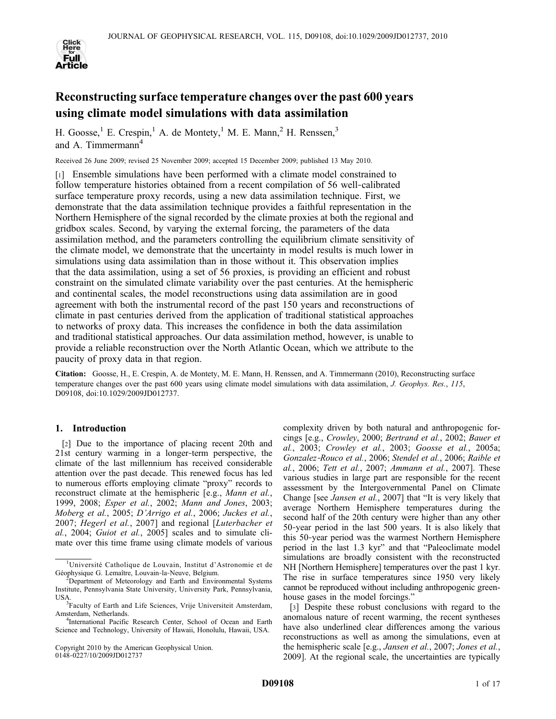

# Reconstructing surface temperature changes over the past 600 years using climate model simulations with data assimilation

H. Goosse,<sup>1</sup> E. Crespin,<sup>1</sup> A. de Montety,<sup>1</sup> M. E. Mann,<sup>2</sup> H. Renssen,<sup>3</sup> and A. Timmermann<sup>4</sup>

Received 26 June 2009; revised 25 November 2009; accepted 15 December 2009; published 13 May 2010.

[1] Ensemble simulations have been performed with a climate model constrained to follow temperature histories obtained from a recent compilation of 56 well-calibrated surface temperature proxy records, using a new data assimilation technique. First, we demonstrate that the data assimilation technique provides a faithful representation in the Northern Hemisphere of the signal recorded by the climate proxies at both the regional and gridbox scales. Second, by varying the external forcing, the parameters of the data assimilation method, and the parameters controlling the equilibrium climate sensitivity of the climate model, we demonstrate that the uncertainty in model results is much lower in simulations using data assimilation than in those without it. This observation implies that the data assimilation, using a set of 56 proxies, is providing an efficient and robust constraint on the simulated climate variability over the past centuries. At the hemispheric and continental scales, the model reconstructions using data assimilation are in good agreement with both the instrumental record of the past 150 years and reconstructions of climate in past centuries derived from the application of traditional statistical approaches to networks of proxy data. This increases the confidence in both the data assimilation and traditional statistical approaches. Our data assimilation method, however, is unable to provide a reliable reconstruction over the North Atlantic Ocean, which we attribute to the paucity of proxy data in that region.

Citation: Goosse, H., E. Crespin, A. de Montety, M. E. Mann, H. Renssen, and A. Timmermann (2010), Reconstructing surface temperature changes over the past 600 years using climate model simulations with data assimilation, J. Geophys. Res., 115, D09108, doi:10.1029/2009JD012737.

### 1. Introduction

[2] Due to the importance of placing recent 20th and 21st century warming in a longer‐term perspective, the climate of the last millennium has received considerable attention over the past decade. This renewed focus has led to numerous efforts employing climate "proxy" records to reconstruct climate at the hemispheric [e.g., Mann et al., 1999, 2008; Esper et al., 2002; Mann and Jones, 2003; Moberg et al., 2005; D'Arrigo et al., 2006; Juckes et al., 2007; Hegerl et al., 2007] and regional [Luterbacher et al., 2004; Guiot et al., 2005] scales and to simulate climate over this time frame using climate models of various

Copyright 2010 by the American Geophysical Union. 0148‐0227/10/2009JD012737

complexity driven by both natural and anthropogenic forcings [e.g., Crowley, 2000; Bertrand et al., 2002; Bauer et al., 2003; Crowley et al., 2003; Goosse et al., 2005a; Gonzalez‐Rouco et al., 2006; Stendel et al., 2006; Raible et al., 2006; Tett et al., 2007; Ammann et al., 2007]. These various studies in large part are responsible for the recent assessment by the Intergovernmental Panel on Climate Change [see Jansen et al., 2007] that "It is very likely that average Northern Hemisphere temperatures during the second half of the 20th century were higher than any other 50‐year period in the last 500 years. It is also likely that this 50‐year period was the warmest Northern Hemisphere period in the last 1.3 kyr" and that "Paleoclimate model simulations are broadly consistent with the reconstructed NH [Northern Hemisphere] temperatures over the past 1 kyr. The rise in surface temperatures since 1950 very likely cannot be reproduced without including anthropogenic greenhouse gases in the model forcings."

[3] Despite these robust conclusions with regard to the anomalous nature of recent warming, the recent syntheses have also underlined clear differences among the various reconstructions as well as among the simulations, even at the hemispheric scale [e.g., Jansen et al., 2007; Jones et al., 2009]. At the regional scale, the uncertainties are typically

<sup>&</sup>lt;sup>1</sup>Université Catholique de Louvain, Institut d'Astronomie et de Géophysique G. Lemaître, Louvain‐la‐Neuve, Belgium. <sup>2</sup>

Department of Meteorology and Earth and Environmental Systems Institute, Pennsylvania State University, University Park, Pennsylvania, USA.

<sup>&</sup>lt;sup>3</sup>Faculty of Earth and Life Sciences, Vrije Universiteit Amsterdam, Amsterdam, Netherlands. <sup>4</sup>

<sup>&</sup>lt;sup>4</sup>International Pacific Research Center, School of Ocean and Earth Science and Technology, University of Hawaii, Honolulu, Hawaii, USA.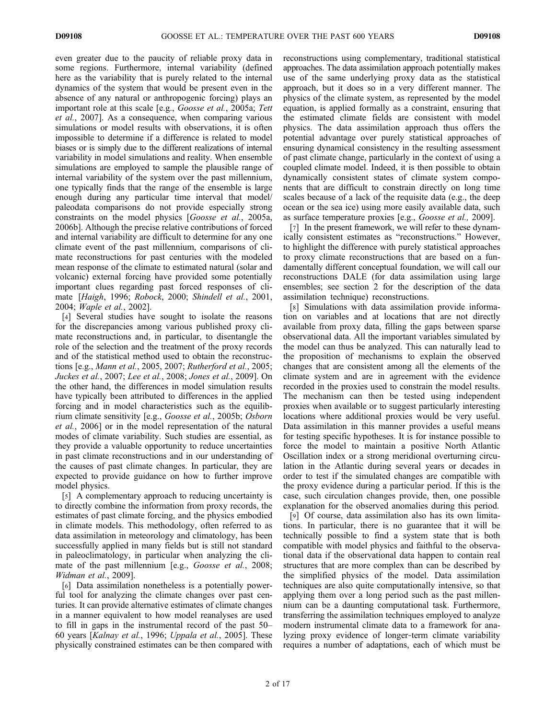even greater due to the paucity of reliable proxy data in some regions. Furthermore, internal variability (defined here as the variability that is purely related to the internal dynamics of the system that would be present even in the absence of any natural or anthropogenic forcing) plays an important role at this scale [e.g., Goosse et al., 2005a; Tett et al., 2007]. As a consequence, when comparing various simulations or model results with observations, it is often impossible to determine if a difference is related to model biases or is simply due to the different realizations of internal variability in model simulations and reality. When ensemble simulations are employed to sample the plausible range of internal variability of the system over the past millennium, one typically finds that the range of the ensemble is large enough during any particular time interval that model/ paleodata comparisons do not provide especially strong constraints on the model physics [Goosse et al., 2005a, 2006b]. Although the precise relative contributions of forced and internal variability are difficult to determine for any one climate event of the past millennium, comparisons of climate reconstructions for past centuries with the modeled mean response of the climate to estimated natural (solar and volcanic) external forcing have provided some potentially important clues regarding past forced responses of climate [Haigh, 1996; Robock, 2000; Shindell et al., 2001, 2004; Waple et al., 2002].

[4] Several studies have sought to isolate the reasons for the discrepancies among various published proxy climate reconstructions and, in particular, to disentangle the role of the selection and the treatment of the proxy records and of the statistical method used to obtain the reconstructions [e.g., Mann et al., 2005, 2007; Rutherford et al., 2005; Juckes et al., 2007; Lee et al., 2008; Jones et al., 2009]. On the other hand, the differences in model simulation results have typically been attributed to differences in the applied forcing and in model characteristics such as the equilibrium climate sensitivity [e.g., Goosse et al., 2005b; Osborn et al., 2006] or in the model representation of the natural modes of climate variability. Such studies are essential, as they provide a valuable opportunity to reduce uncertainties in past climate reconstructions and in our understanding of the causes of past climate changes. In particular, they are expected to provide guidance on how to further improve model physics.

[5] A complementary approach to reducing uncertainty is to directly combine the information from proxy records, the estimates of past climate forcing, and the physics embodied in climate models. This methodology, often referred to as data assimilation in meteorology and climatology, has been successfully applied in many fields but is still not standard in paleoclimatology, in particular when analyzing the climate of the past millennium [e.g., *Goosse et al.*, 2008; Widman et al., 2009].

[6] Data assimilation nonetheless is a potentially powerful tool for analyzing the climate changes over past centuries. It can provide alternative estimates of climate changes in a manner equivalent to how model reanalyses are used to fill in gaps in the instrumental record of the past 50– 60 years [Kalnay et al., 1996; Uppala et al., 2005]. These physically constrained estimates can be then compared with reconstructions using complementary, traditional statistical approaches. The data assimilation approach potentially makes use of the same underlying proxy data as the statistical approach, but it does so in a very different manner. The physics of the climate system, as represented by the model equation, is applied formally as a constraint, ensuring that the estimated climate fields are consistent with model physics. The data assimilation approach thus offers the potential advantage over purely statistical approaches of ensuring dynamical consistency in the resulting assessment of past climate change, particularly in the context of using a coupled climate model. Indeed, it is then possible to obtain dynamically consistent states of climate system components that are difficult to constrain directly on long time scales because of a lack of the requisite data (e.g., the deep ocean or the sea ice) using more easily available data, such as surface temperature proxies [e.g., Goosse et al., 2009].

[7] In the present framework, we will refer to these dynamically consistent estimates as "reconstructions." However, to highlight the difference with purely statistical approaches to proxy climate reconstructions that are based on a fundamentally different conceptual foundation, we will call our reconstructions DALE (for data assimilation using large ensembles; see section 2 for the description of the data assimilation technique) reconstructions.

[8] Simulations with data assimilation provide information on variables and at locations that are not directly available from proxy data, filling the gaps between sparse observational data. All the important variables simulated by the model can thus be analyzed. This can naturally lead to the proposition of mechanisms to explain the observed changes that are consistent among all the elements of the climate system and are in agreement with the evidence recorded in the proxies used to constrain the model results. The mechanism can then be tested using independent proxies when available or to suggest particularly interesting locations where additional proxies would be very useful. Data assimilation in this manner provides a useful means for testing specific hypotheses. It is for instance possible to force the model to maintain a positive North Atlantic Oscillation index or a strong meridional overturning circulation in the Atlantic during several years or decades in order to test if the simulated changes are compatible with the proxy evidence during a particular period. If this is the case, such circulation changes provide, then, one possible explanation for the observed anomalies during this period.

[9] Of course, data assimilation also has its own limitations. In particular, there is no guarantee that it will be technically possible to find a system state that is both compatible with model physics and faithful to the observational data if the observational data happen to contain real structures that are more complex than can be described by the simplified physics of the model. Data assimilation techniques are also quite computationally intensive, so that applying them over a long period such as the past millennium can be a daunting computational task. Furthermore, transferring the assimilation techniques employed to analyze modern instrumental climate data to a framework for analyzing proxy evidence of longer‐term climate variability requires a number of adaptations, each of which must be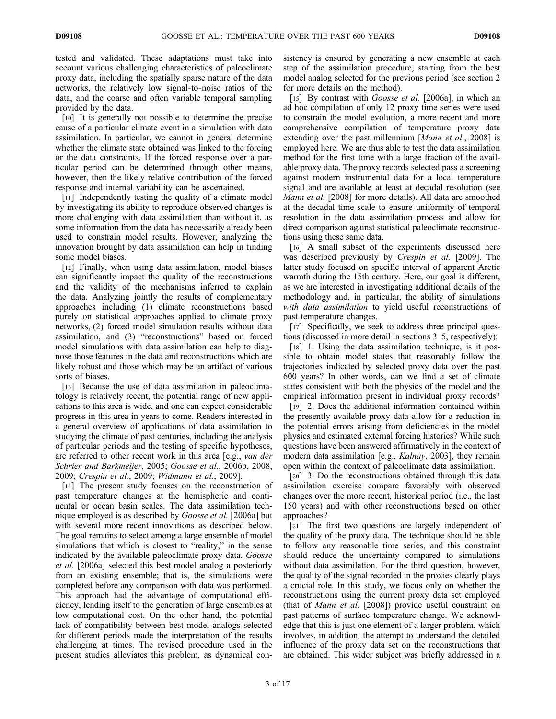tested and validated. These adaptations must take into account various challenging characteristics of paleoclimate proxy data, including the spatially sparse nature of the data networks, the relatively low signal‐to‐noise ratios of the data, and the coarse and often variable temporal sampling provided by the data.

[10] It is generally not possible to determine the precise cause of a particular climate event in a simulation with data assimilation. In particular, we cannot in general determine whether the climate state obtained was linked to the forcing or the data constraints. If the forced response over a particular period can be determined through other means, however, then the likely relative contribution of the forced response and internal variability can be ascertained.

[11] Independently testing the quality of a climate model by investigating its ability to reproduce observed changes is more challenging with data assimilation than without it, as some information from the data has necessarily already been used to constrain model results. However, analyzing the innovation brought by data assimilation can help in finding some model biases.

[12] Finally, when using data assimilation, model biases can significantly impact the quality of the reconstructions and the validity of the mechanisms inferred to explain the data. Analyzing jointly the results of complementary approaches including (1) climate reconstructions based purely on statistical approaches applied to climate proxy networks, (2) forced model simulation results without data assimilation, and (3) "reconstructions" based on forced model simulations with data assimilation can help to diagnose those features in the data and reconstructions which are likely robust and those which may be an artifact of various sorts of biases.

[13] Because the use of data assimilation in paleoclimatology is relatively recent, the potential range of new applications to this area is wide, and one can expect considerable progress in this area in years to come. Readers interested in a general overview of applications of data assimilation to studying the climate of past centuries, including the analysis of particular periods and the testing of specific hypotheses, are referred to other recent work in this area [e.g., van der Schrier and Barkmeijer, 2005; Goosse et al., 2006b, 2008, 2009; Crespin et al., 2009; Widmann et al., 2009].

[14] The present study focuses on the reconstruction of past temperature changes at the hemispheric and continental or ocean basin scales. The data assimilation technique employed is as described by *Goosse et al.* [2006a] but with several more recent innovations as described below. The goal remains to select among a large ensemble of model simulations that which is closest to "reality," in the sense indicated by the available paleoclimate proxy data. Goosse et al. [2006a] selected this best model analog a posteriorly from an existing ensemble; that is, the simulations were completed before any comparison with data was performed. This approach had the advantage of computational efficiency, lending itself to the generation of large ensembles at low computational cost. On the other hand, the potential lack of compatibility between best model analogs selected for different periods made the interpretation of the results challenging at times. The revised procedure used in the present studies alleviates this problem, as dynamical consistency is ensured by generating a new ensemble at each step of the assimilation procedure, starting from the best model analog selected for the previous period (see section 2 for more details on the method).

[15] By contrast with *Goosse et al.* [2006a], in which an ad hoc compilation of only 12 proxy time series were used to constrain the model evolution, a more recent and more comprehensive compilation of temperature proxy data extending over the past millennium [*Mann et al.*, 2008] is employed here. We are thus able to test the data assimilation method for the first time with a large fraction of the available proxy data. The proxy records selected pass a screening against modern instrumental data for a local temperature signal and are available at least at decadal resolution (see Mann et al. [2008] for more details). All data are smoothed at the decadal time scale to ensure uniformity of temporal resolution in the data assimilation process and allow for direct comparison against statistical paleoclimate reconstructions using these same data.

[16] A small subset of the experiments discussed here was described previously by Crespin et al. [2009]. The latter study focused on specific interval of apparent Arctic warmth during the 15th century. Here, our goal is different, as we are interested in investigating additional details of the methodology and, in particular, the ability of simulations with data assimilation to yield useful reconstructions of past temperature changes.

[17] Specifically, we seek to address three principal questions (discussed in more detail in sections 3–5, respectively):

[18] 1. Using the data assimilation technique, is it possible to obtain model states that reasonably follow the trajectories indicated by selected proxy data over the past 600 years? In other words, can we find a set of climate states consistent with both the physics of the model and the empirical information present in individual proxy records?

[19] 2. Does the additional information contained within the presently available proxy data allow for a reduction in the potential errors arising from deficiencies in the model physics and estimated external forcing histories? While such questions have been answered affirmatively in the context of modern data assimilation [e.g., Kalnay, 2003], they remain open within the context of paleoclimate data assimilation.

[20] 3. Do the reconstructions obtained through this data assimilation exercise compare favorably with observed changes over the more recent, historical period (i.e., the last 150 years) and with other reconstructions based on other approaches?

[21] The first two questions are largely independent of the quality of the proxy data. The technique should be able to follow any reasonable time series, and this constraint should reduce the uncertainty compared to simulations without data assimilation. For the third question, however, the quality of the signal recorded in the proxies clearly plays a crucial role. In this study, we focus only on whether the reconstructions using the current proxy data set employed (that of Mann et al. [2008]) provide useful constraint on past patterns of surface temperature change. We acknowledge that this is just one element of a larger problem, which involves, in addition, the attempt to understand the detailed influence of the proxy data set on the reconstructions that are obtained. This wider subject was briefly addressed in a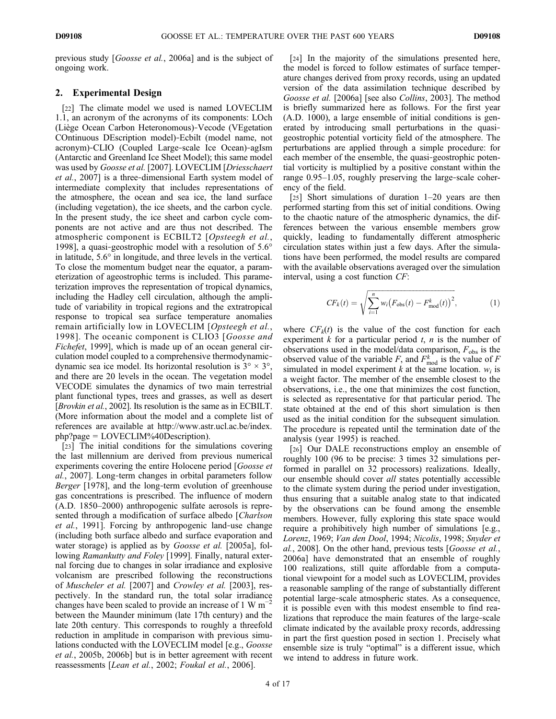previous study [Goosse et al., 2006a] and is the subject of ongoing work.

# 2. Experimental Design

[22] The climate model we used is named LOVECLIM 1.1, an acronym of the acronyms of its components: LOch (Liège Ocean Carbon Heteronomous)‐Vecode (VEgetation COntinuous DEscription model)‐Ecbilt (model name, not acronym)‐CLIO (Coupled Large‐scale Ice Ocean)‐agIsm (Antarctic and Greenland Ice Sheet Model); this same model was used by Goosse et al. [2007]. LOVECLIM [Driesschaert et al., 2007] is a three-dimensional Earth system model of intermediate complexity that includes representations of the atmosphere, the ocean and sea ice, the land surface (including vegetation), the ice sheets, and the carbon cycle. In the present study, the ice sheet and carbon cycle components are not active and are thus not described. The atmospheric component is ECBILT2 [Opsteegh et al., 1998], a quasi-geostrophic model with a resolution of 5.6° in latitude, 5.6° in longitude, and three levels in the vertical. To close the momentum budget near the equator, a parameterization of ageostrophic terms is included. This parameterization improves the representation of tropical dynamics, including the Hadley cell circulation, although the amplitude of variability in tropical regions and the extratropical response to tropical sea surface temperature anomalies remain artificially low in LOVECLIM [Opsteegh et al., 1998]. The oceanic component is CLIO3 [Goosse and Fichefet, 1999], which is made up of an ocean general circulation model coupled to a comprehensive thermodynamic‐ dynamic sea ice model. Its horizontal resolution is  $3^{\circ} \times 3^{\circ}$ , and there are 20 levels in the ocean. The vegetation model VECODE simulates the dynamics of two main terrestrial plant functional types, trees and grasses, as well as desert [Brovkin et al., 2002]. Its resolution is the same as in ECBILT. (More information about the model and a complete list of references are available at http://www.astr.ucl.ac.be/index. php?page = LOVECLIM%40Description).

[23] The initial conditions for the simulations covering the last millennium are derived from previous numerical experiments covering the entire Holocene period [*Goosse et*] al., 2007]. Long‐term changes in orbital parameters follow Berger [1978], and the long-term evolution of greenhouse gas concentrations is prescribed. The influence of modern (A.D. 1850–2000) anthropogenic sulfate aerosols is represented through a modification of surface albedo [Charlson et al., 1991]. Forcing by anthropogenic land‐use change (including both surface albedo and surface evaporation and water storage) is applied as by *Goosse et al.* [2005a], following *Ramankutty and Foley* [1999]. Finally, natural external forcing due to changes in solar irradiance and explosive volcanism are prescribed following the reconstructions of Muscheler et al. [2007] and Crowley et al. [2003], respectively. In the standard run, the total solar irradiance changes have been scaled to provide an increase of 1 W m−<sup>2</sup> between the Maunder minimum (late 17th century) and the late 20th century. This corresponds to roughly a threefold reduction in amplitude in comparison with previous simulations conducted with the LOVECLIM model [e.g., Goosse et al., 2005b, 2006b] but is in better agreement with recent reassessments [Lean et al., 2002; Foukal et al., 2006].

[24] In the majority of the simulations presented here, the model is forced to follow estimates of surface temperature changes derived from proxy records, using an updated version of the data assimilation technique described by Goosse et al. [2006a] [see also Collins, 2003]. The method is briefly summarized here as follows. For the first year (A.D. 1000), a large ensemble of initial conditions is generated by introducing small perturbations in the quasigeostrophic potential vorticity field of the atmosphere. The perturbations are applied through a simple procedure: for each member of the ensemble, the quasi-geostrophic potential vorticity is multiplied by a positive constant within the range 0.95–1.05, roughly preserving the large-scale coherency of the field.

[25] Short simulations of duration 1–20 years are then performed starting from this set of initial conditions. Owing to the chaotic nature of the atmospheric dynamics, the differences between the various ensemble members grow quickly, leading to fundamentally different atmospheric circulation states within just a few days. After the simulations have been performed, the model results are compared with the available observations averaged over the simulation interval, using a cost function CF:

$$
CF_k(t) = \sqrt{\sum_{i=1}^n w_i (F_{obs}(t) - F_{mod}^k(t))^2},
$$
 (1)

where  $CF_k(t)$  is the value of the cost function for each experiment  $k$  for a particular period  $t$ ,  $n$  is the number of observations used in the model/data comparison,  $F_{obs}$  is the observed value of the variable F, and  $F_{mod}^k$  is the value of F simulated in model experiment k at the same location.  $w_i$  is a weight factor. The member of the ensemble closest to the observations, i.e., the one that minimizes the cost function, is selected as representative for that particular period. The state obtained at the end of this short simulation is then used as the initial condition for the subsequent simulation. The procedure is repeated until the termination date of the analysis (year 1995) is reached.

[26] Our DALE reconstructions employ an ensemble of roughly 100 (96 to be precise: 3 times 32 simulations performed in parallel on 32 processors) realizations. Ideally, our ensemble should cover *all* states potentially accessible to the climate system during the period under investigation, thus ensuring that a suitable analog state to that indicated by the observations can be found among the ensemble members. However, fully exploring this state space would require a prohibitively high number of simulations [e.g., Lorenz, 1969; Van den Dool, 1994; Nicolis, 1998; Snyder et al., 2008]. On the other hand, previous tests [Goosse et al., 2006a] have demonstrated that an ensemble of roughly 100 realizations, still quite affordable from a computational viewpoint for a model such as LOVECLIM, provides a reasonable sampling of the range of substantially different potential large‐scale atmospheric states. As a consequence, it is possible even with this modest ensemble to find realizations that reproduce the main features of the large‐scale climate indicated by the available proxy records, addressing in part the first question posed in section 1. Precisely what ensemble size is truly "optimal" is a different issue, which we intend to address in future work.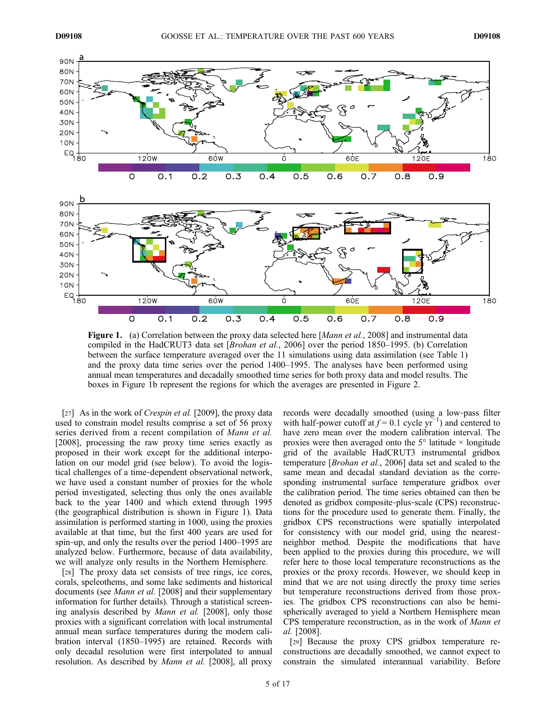



Figure 1. (a) Correlation between the proxy data selected here [*Mann et al.*, 2008] and instrumental data compiled in the HadCRUT3 data set [*Brohan et al.*, 2006] over the period 1850–1995. (b) Correlation between the surface temperature averaged over the 11 simulations using data assimilation (see Table 1) and the proxy data time series over the period 1400–1995. The analyses have been performed using annual mean temperatures and decadally smoothed time series for both proxy data and model results. The boxes in Figure 1b represent the regions for which the averages are presented in Figure 2.

[27] As in the work of *Crespin et al.* [2009], the proxy data used to constrain model results comprise a set of 56 proxy series derived from a recent compilation of Mann et al. [2008], processing the raw proxy time series exactly as proposed in their work except for the additional interpolation on our model grid (see below). To avoid the logistical challenges of a time‐dependent observational network, we have used a constant number of proxies for the whole period investigated, selecting thus only the ones available back to the year 1400 and which extend through 1995 (the geographical distribution is shown in Figure 1). Data assimilation is performed starting in 1000, using the proxies available at that time, but the first 400 years are used for spin‐up, and only the results over the period 1400–1995 are analyzed below. Furthermore, because of data availability, we will analyze only results in the Northern Hemisphere.

[28] The proxy data set consists of tree rings, ice cores, corals, speleothems, and some lake sediments and historical documents (see *Mann et al.* [2008] and their supplementary information for further details). Through a statistical screening analysis described by Mann et al. [2008], only those proxies with a significant correlation with local instrumental annual mean surface temperatures during the modern calibration interval (1850–1995) are retained. Records with only decadal resolution were first interpolated to annual resolution. As described by Mann et al. [2008], all proxy

records were decadally smoothed (using a low‐pass filter with half-power cutoff at  $f = 0.1$  cycle  $yr^{-1}$ ) and centered to have zero mean over the modern calibration interval. The proxies were then averaged onto the  $5^\circ$  latitude  $\times$  longitude grid of the available HadCRUT3 instrumental gridbox temperature [Brohan et al., 2006] data set and scaled to the same mean and decadal standard deviation as the corresponding instrumental surface temperature gridbox over the calibration period. The time series obtained can then be denoted as gridbox composite‐plus‐scale (CPS) reconstructions for the procedure used to generate them. Finally, the gridbox CPS reconstructions were spatially interpolated for consistency with our model grid, using the nearestneighbor method. Despite the modifications that have been applied to the proxies during this procedure, we will refer here to those local temperature reconstructions as the proxies or the proxy records. However, we should keep in mind that we are not using directly the proxy time series but temperature reconstructions derived from those proxies. The gridbox CPS reconstructions can also be hemispherically averaged to yield a Northern Hemisphere mean CPS temperature reconstruction, as in the work of Mann et al. [2008].

[29] Because the proxy CPS gridbox temperature reconstructions are decadally smoothed, we cannot expect to constrain the simulated interannual variability. Before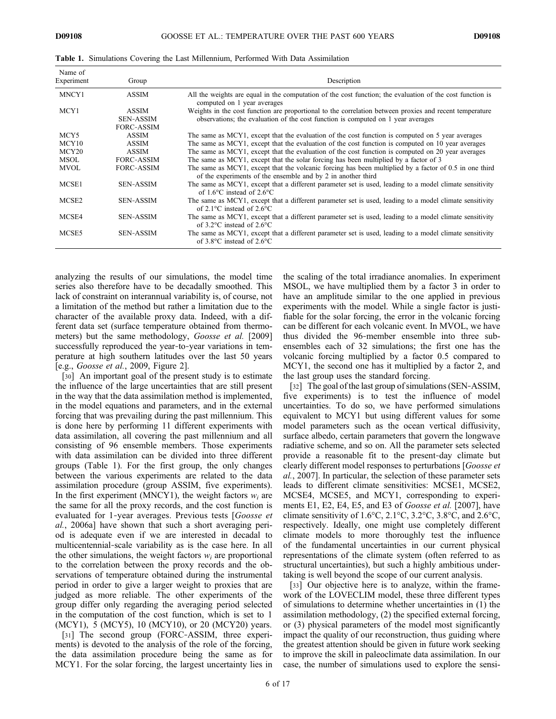Table 1. Simulations Covering the Last Millennium, Performed With Data Assimilation

| Name of<br>Experiment | Group                                          | Description                                                                                                                                                                                 |
|-----------------------|------------------------------------------------|---------------------------------------------------------------------------------------------------------------------------------------------------------------------------------------------|
| MNCY1                 | <b>ASSIM</b>                                   | All the weights are equal in the computation of the cost function; the evaluation of the cost function is<br>computed on 1 year averages                                                    |
| MCY <sub>1</sub>      | ASSIM<br><b>SEN-ASSIM</b><br><b>FORC-ASSIM</b> | Weights in the cost function are proportional to the correlation between proxies and recent temperature<br>observations; the evaluation of the cost function is computed on 1 year averages |
| MCY5                  | ASSIM                                          | The same as MCY1, except that the evaluation of the cost function is computed on 5 year averages                                                                                            |
| MCY10                 | <b>ASSIM</b>                                   | The same as MCY1, except that the evaluation of the cost function is computed on 10 year averages                                                                                           |
| MCY <sub>20</sub>     | ASSIM                                          | The same as MCY1, except that the evaluation of the cost function is computed on 20 year averages                                                                                           |
| MSOL                  | FORC-ASSIM                                     | The same as MCY1, except that the solar forcing has been multiplied by a factor of 3                                                                                                        |
| <b>MVOL</b>           | <b>FORC-ASSIM</b>                              | The same as MCY1, except that the volcanic forcing has been multiplied by a factor of 0.5 in one third<br>of the experiments of the ensemble and by 2 in another third                      |
| MCSE1                 | <b>SEN-ASSIM</b>                               | The same as MCY1, except that a different parameter set is used, leading to a model climate sensitivity<br>of 1.6 $\degree$ C instead of 2.6 $\degree$ C                                    |
| MCSE2                 | <b>SEN-ASSIM</b>                               | The same as MCY1, except that a different parameter set is used, leading to a model climate sensitivity<br>of 2.1 $\degree$ C instead of 2.6 $\degree$ C                                    |
| MCSE4                 | <b>SEN-ASSIM</b>                               | The same as MCY1, except that a different parameter set is used, leading to a model climate sensitivity<br>of $3.2^{\circ}$ C instead of $2.6^{\circ}$ C                                    |
| MCSE5                 | <b>SEN-ASSIM</b>                               | The same as MCY1, except that a different parameter set is used, leading to a model climate sensitivity<br>of $3.8^{\circ}$ C instead of $2.6^{\circ}$ C                                    |

analyzing the results of our simulations, the model time series also therefore have to be decadally smoothed. This lack of constraint on interannual variability is, of course, not a limitation of the method but rather a limitation due to the character of the available proxy data. Indeed, with a different data set (surface temperature obtained from thermometers) but the same methodology, Goosse et al. [2009] successfully reproduced the year-to-year variations in temperature at high southern latitudes over the last 50 years [e.g., Goosse et al., 2009, Figure 2].

[30] An important goal of the present study is to estimate the influence of the large uncertainties that are still present in the way that the data assimilation method is implemented, in the model equations and parameters, and in the external forcing that was prevailing during the past millennium. This is done here by performing 11 different experiments with data assimilation, all covering the past millennium and all consisting of 96 ensemble members. Those experiments with data assimilation can be divided into three different groups (Table 1). For the first group, the only changes between the various experiments are related to the data assimilation procedure (group ASSIM, five experiments). In the first experiment (MNCY1), the weight factors  $w_i$  are the same for all the proxy records, and the cost function is evaluated for 1-year averages. Previous tests [Goosse et al., 2006a] have shown that such a short averaging period is adequate even if we are interested in decadal to multicentennial‐scale variability as is the case here. In all the other simulations, the weight factors  $w_i$  are proportional to the correlation between the proxy records and the observations of temperature obtained during the instrumental period in order to give a larger weight to proxies that are judged as more reliable. The other experiments of the group differ only regarding the averaging period selected in the computation of the cost function, which is set to 1 (MCY1), 5 (MCY5), 10 (MCY10), or 20 (MCY20) years.

[31] The second group (FORC-ASSIM, three experiments) is devoted to the analysis of the role of the forcing, the data assimilation procedure being the same as for MCY1. For the solar forcing, the largest uncertainty lies in

the scaling of the total irradiance anomalies. In experiment MSOL, we have multiplied them by a factor 3 in order to have an amplitude similar to the one applied in previous experiments with the model. While a single factor is justifiable for the solar forcing, the error in the volcanic forcing can be different for each volcanic event. In MVOL, we have thus divided the 96‐member ensemble into three subensembles each of 32 simulations; the first one has the volcanic forcing multiplied by a factor 0.5 compared to MCY1, the second one has it multiplied by a factor 2, and the last group uses the standard forcing.

[32] The goal of the last group of simulations (SEN-ASSIM, five experiments) is to test the influence of model uncertainties. To do so, we have performed simulations equivalent to MCY1 but using different values for some model parameters such as the ocean vertical diffusivity, surface albedo, certain parameters that govern the longwave radiative scheme, and so on. All the parameter sets selected provide a reasonable fit to the present‐day climate but clearly different model responses to perturbations [Goosse et al., 2007]. In particular, the selection of these parameter sets leads to different climate sensitivities: MCSE1, MCSE2, MCSE4, MCSE5, and MCY1, corresponding to experiments E1, E2, E4, E5, and E3 of *Goosse et al.* [2007], have climate sensitivity of 1.6°C, 2.1°C, 3.2°C, 3.8°C, and 2.6°C, respectively. Ideally, one might use completely different climate models to more thoroughly test the influence of the fundamental uncertainties in our current physical representations of the climate system (often referred to as structural uncertainties), but such a highly ambitious undertaking is well beyond the scope of our current analysis.

[33] Our objective here is to analyze, within the framework of the LOVECLIM model, these three different types of simulations to determine whether uncertainties in (1) the assimilation methodology, (2) the specified external forcing, or (3) physical parameters of the model most significantly impact the quality of our reconstruction, thus guiding where the greatest attention should be given in future work seeking to improve the skill in paleoclimate data assimilation. In our case, the number of simulations used to explore the sensi-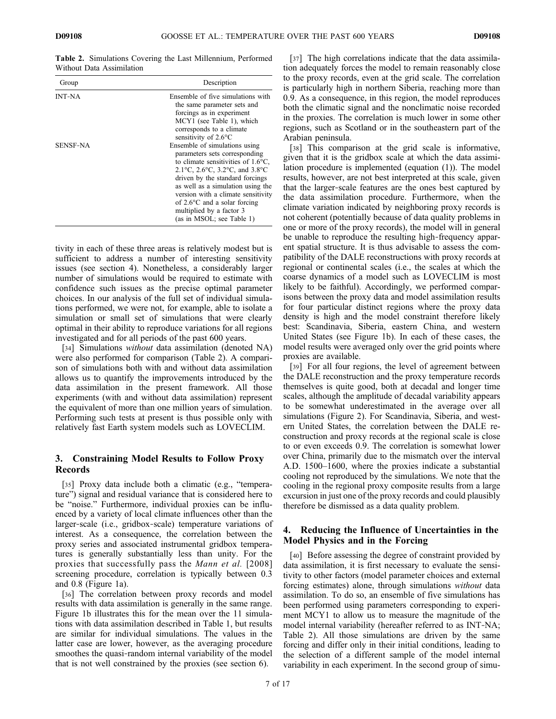Table 2. Simulations Covering the Last Millennium, Performed Without Data Assimilation

| Group           | Description                                                                                                                                                                                                                                                                                                                                                           |
|-----------------|-----------------------------------------------------------------------------------------------------------------------------------------------------------------------------------------------------------------------------------------------------------------------------------------------------------------------------------------------------------------------|
| <b>INT-NA</b>   | Ensemble of five simulations with<br>the same parameter sets and<br>forcings as in experiment<br>MCY1 (see Table 1), which<br>corresponds to a climate<br>sensitivity of 2.6°C                                                                                                                                                                                        |
| <b>SENSF-NA</b> | Ensemble of simulations using<br>parameters sets corresponding<br>to climate sensitivities of $1.6^{\circ}$ C,<br>2.1 °C, 2.6 °C, 3.2 °C, and 3.8 °C<br>driven by the standard forcings<br>as well as a simulation using the<br>version with a climate sensitivity<br>of $2.6^{\circ}$ C and a solar forcing<br>multiplied by a factor 3<br>(as in MSOL; see Table 1) |

tivity in each of these three areas is relatively modest but is sufficient to address a number of interesting sensitivity issues (see section 4). Nonetheless, a considerably larger number of simulations would be required to estimate with confidence such issues as the precise optimal parameter choices. In our analysis of the full set of individual simulations performed, we were not, for example, able to isolate a simulation or small set of simulations that were clearly optimal in their ability to reproduce variations for all regions investigated and for all periods of the past 600 years.

[34] Simulations *without* data assimilation (denoted NA) were also performed for comparison (Table 2). A comparison of simulations both with and without data assimilation allows us to quantify the improvements introduced by the data assimilation in the present framework. All those experiments (with and without data assimilation) represent the equivalent of more than one million years of simulation. Performing such tests at present is thus possible only with relatively fast Earth system models such as LOVECLIM.

# 3. Constraining Model Results to Follow Proxy Records

[35] Proxy data include both a climatic (e.g., "temperature") signal and residual variance that is considered here to be "noise." Furthermore, individual proxies can be influenced by a variety of local climate influences other than the larger‐scale (i.e., gridbox‐scale) temperature variations of interest. As a consequence, the correlation between the proxy series and associated instrumental gridbox temperatures is generally substantially less than unity. For the proxies that successfully pass the Mann et al. [2008] screening procedure, correlation is typically between 0.3 and 0.8 (Figure 1a).

[36] The correlation between proxy records and model results with data assimilation is generally in the same range. Figure 1b illustrates this for the mean over the 11 simulations with data assimilation described in Table 1, but results are similar for individual simulations. The values in the latter case are lower, however, as the averaging procedure smoothes the quasi-random internal variability of the model that is not well constrained by the proxies (see section 6).

[37] The high correlations indicate that the data assimilation adequately forces the model to remain reasonably close to the proxy records, even at the grid scale. The correlation is particularly high in northern Siberia, reaching more than 0.9. As a consequence, in this region, the model reproduces both the climatic signal and the nonclimatic noise recorded in the proxies. The correlation is much lower in some other regions, such as Scotland or in the southeastern part of the Arabian peninsula.

[38] This comparison at the grid scale is informative, given that it is the gridbox scale at which the data assimilation procedure is implemented (equation (1)). The model results, however, are not best interpreted at this scale, given that the larger‐scale features are the ones best captured by the data assimilation procedure. Furthermore, when the climate variation indicated by neighboring proxy records is not coherent (potentially because of data quality problems in one or more of the proxy records), the model will in general be unable to reproduce the resulting high‐frequency apparent spatial structure. It is thus advisable to assess the compatibility of the DALE reconstructions with proxy records at regional or continental scales (i.e., the scales at which the coarse dynamics of a model such as LOVECLIM is most likely to be faithful). Accordingly, we performed comparisons between the proxy data and model assimilation results for four particular distinct regions where the proxy data density is high and the model constraint therefore likely best: Scandinavia, Siberia, eastern China, and western United States (see Figure 1b). In each of these cases, the model results were averaged only over the grid points where proxies are available.

[39] For all four regions, the level of agreement between the DALE reconstruction and the proxy temperature records themselves is quite good, both at decadal and longer time scales, although the amplitude of decadal variability appears to be somewhat underestimated in the average over all simulations (Figure 2). For Scandinavia, Siberia, and western United States, the correlation between the DALE reconstruction and proxy records at the regional scale is close to or even exceeds 0.9. The correlation is somewhat lower over China, primarily due to the mismatch over the interval A.D. 1500–1600, where the proxies indicate a substantial cooling not reproduced by the simulations. We note that the cooling in the regional proxy composite results from a large excursion in just one of the proxy records and could plausibly therefore be dismissed as a data quality problem.

# 4. Reducing the Influence of Uncertainties in the Model Physics and in the Forcing

[40] Before assessing the degree of constraint provided by data assimilation, it is first necessary to evaluate the sensitivity to other factors (model parameter choices and external forcing estimates) alone, through simulations without data assimilation. To do so, an ensemble of five simulations has been performed using parameters corresponding to experiment MCY1 to allow us to measure the magnitude of the model internal variability (hereafter referred to as INT‐NA; Table 2). All those simulations are driven by the same forcing and differ only in their initial conditions, leading to the selection of a different sample of the model internal variability in each experiment. In the second group of simu-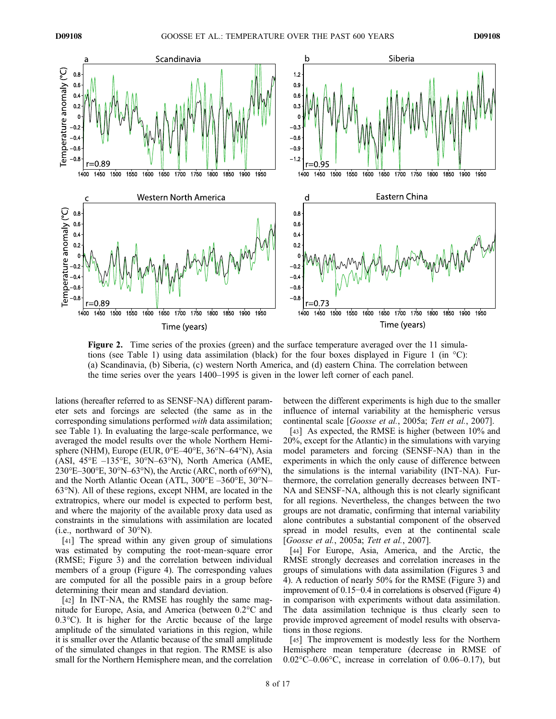

Figure 2. Time series of the proxies (green) and the surface temperature averaged over the 11 simulations (see Table 1) using data assimilation (black) for the four boxes displayed in Figure 1 (in  $^{\circ}$ C): (a) Scandinavia, (b) Siberia, (c) western North America, and (d) eastern China. The correlation between the time series over the years 1400–1995 is given in the lower left corner of each panel.

lations (hereafter referred to as SENSF‐NA) different parameter sets and forcings are selected (the same as in the corresponding simulations performed with data assimilation; see Table 1). In evaluating the large‐scale performance, we averaged the model results over the whole Northern Hemisphere (NHM), Europe (EUR, 0°E–40°E, 36°N–64°N), Asia (ASI, 45°E –135°E, 30°N–63°N), North America (AME,  $230^{\circ}E-300^{\circ}E$ ,  $30^{\circ}N-63^{\circ}N$ , the Arctic (ARC, north of 69°N), and the North Atlantic Ocean (ATL, 300°E –360°E, 30°N– 63°N). All of these regions, except NHM, are located in the extratropics, where our model is expected to perform best, and where the majority of the available proxy data used as constraints in the simulations with assimilation are located (i.e., northward of 30°N).

[41] The spread within any given group of simulations was estimated by computing the root-mean-square error (RMSE; Figure 3) and the correlation between individual members of a group (Figure 4). The corresponding values are computed for all the possible pairs in a group before determining their mean and standard deviation.

[42] In INT-NA, the RMSE has roughly the same magnitude for Europe, Asia, and America (between 0.2°C and  $0.3\degree$ C). It is higher for the Arctic because of the large amplitude of the simulated variations in this region, while it is smaller over the Atlantic because of the small amplitude of the simulated changes in that region. The RMSE is also small for the Northern Hemisphere mean, and the correlation between the different experiments is high due to the smaller influence of internal variability at the hemispheric versus continental scale [Goosse et al., 2005a; Tett et al., 2007].

[43] As expected, the RMSE is higher (between  $10\%$  and 20%, except for the Atlantic) in the simulations with varying model parameters and forcing (SENSF‐NA) than in the experiments in which the only cause of difference between the simulations is the internal variability (INT‐NA). Furthermore, the correlation generally decreases between INT‐ NA and SENSF-NA, although this is not clearly significant for all regions. Nevertheless, the changes between the two groups are not dramatic, confirming that internal variability alone contributes a substantial component of the observed spread in model results, even at the continental scale [*Goosse et al., 2005a; Tett et al., 2007*].

[44] For Europe, Asia, America, and the Arctic, the RMSE strongly decreases and correlation increases in the groups of simulations with data assimilation (Figures 3 and 4). A reduction of nearly 50% for the RMSE (Figure 3) and improvement of 0.15−0.4 in correlations is observed (Figure 4) in comparison with experiments without data assimilation. The data assimilation technique is thus clearly seen to provide improved agreement of model results with observations in those regions.

[45] The improvement is modestly less for the Northern Hemisphere mean temperature (decrease in RMSE of 0.02°C–0.06°C, increase in correlation of 0.06–0.17), but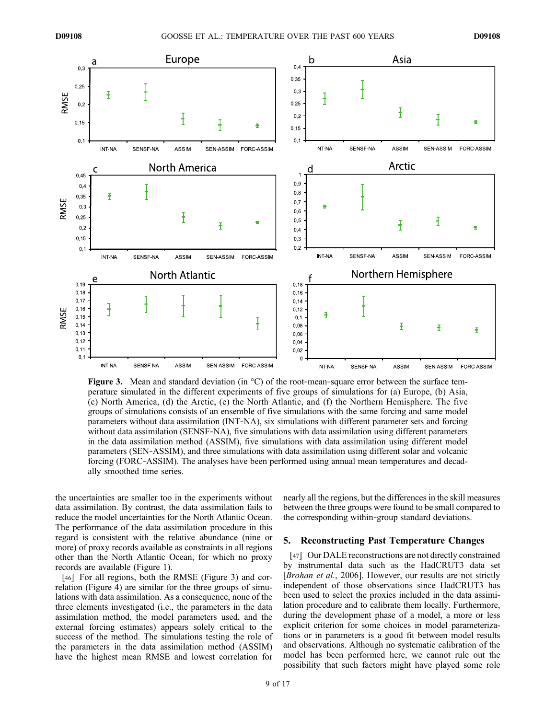

Figure 3. Mean and standard deviation (in °C) of the root-mean-square error between the surface temperature simulated in the different experiments of five groups of simulations for (a) Europe, (b) Asia, (c) North America, (d) the Arctic, (e) the North Atlantic, and (f) the Northern Hemisphere. The five groups of simulations consists of an ensemble of five simulations with the same forcing and same model parameters without data assimilation (INT‐NA), six simulations with different parameter sets and forcing without data assimilation (SENSF-NA), five simulations with data assimilation using different parameters in the data assimilation method (ASSIM), five simulations with data assimilation using different model parameters (SEN‐ASSIM), and three simulations with data assimilation using different solar and volcanic forcing (FORC‐ASSIM). The analyses have been performed using annual mean temperatures and decadally smoothed time series.

the uncertainties are smaller too in the experiments without data assimilation. By contrast, the data assimilation fails to reduce the model uncertainties for the North Atlantic Ocean. The performance of the data assimilation procedure in this regard is consistent with the relative abundance (nine or more) of proxy records available as constraints in all regions other than the North Atlantic Ocean, for which no proxy records are available (Figure 1).

[46] For all regions, both the RMSE (Figure 3) and correlation (Figure 4) are similar for the three groups of simulations with data assimilation. As a consequence, none of the three elements investigated (i.e., the parameters in the data assimilation method, the model parameters used, and the external forcing estimates) appears solely critical to the success of the method. The simulations testing the role of the parameters in the data assimilation method (ASSIM) have the highest mean RMSE and lowest correlation for

nearly all the regions, but the differences in the skill measures between the three groups were found to be small compared to the corresponding within‐group standard deviations.

#### 5. Reconstructing Past Temperature Changes

[47] Our DALE reconstructions are not directly constrained by instrumental data such as the HadCRUT3 data set [Brohan et al., 2006]. However, our results are not strictly independent of those observations since HadCRUT3 has been used to select the proxies included in the data assimilation procedure and to calibrate them locally. Furthermore, during the development phase of a model, a more or less explicit criterion for some choices in model parameterizations or in parameters is a good fit between model results and observations. Although no systematic calibration of the model has been performed here, we cannot rule out the possibility that such factors might have played some role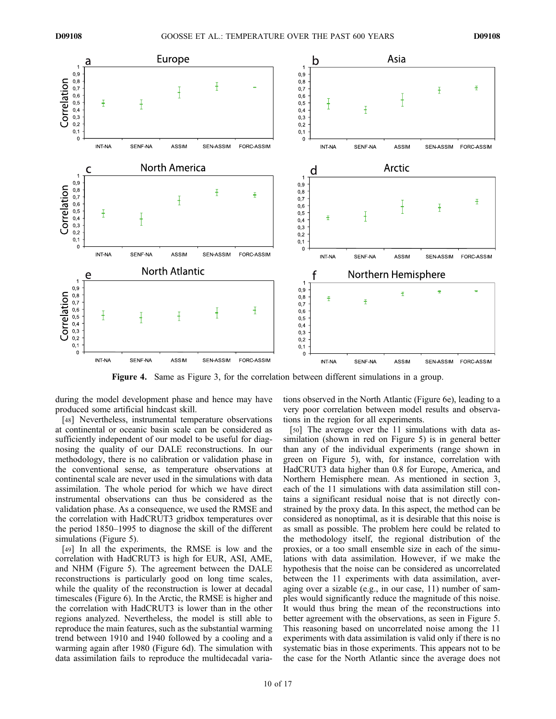

Figure 4. Same as Figure 3, for the correlation between different simulations in a group.

during the model development phase and hence may have produced some artificial hindcast skill.

[48] Nevertheless, instrumental temperature observations at continental or oceanic basin scale can be considered as sufficiently independent of our model to be useful for diagnosing the quality of our DALE reconstructions. In our methodology, there is no calibration or validation phase in the conventional sense, as temperature observations at continental scale are never used in the simulations with data assimilation. The whole period for which we have direct instrumental observations can thus be considered as the validation phase. As a consequence, we used the RMSE and the correlation with HadCRUT3 gridbox temperatures over the period 1850–1995 to diagnose the skill of the different simulations (Figure 5).

[49] In all the experiments, the RMSE is low and the correlation with HadCRUT3 is high for EUR, ASI, AME, and NHM (Figure 5). The agreement between the DALE reconstructions is particularly good on long time scales, while the quality of the reconstruction is lower at decadal timescales (Figure 6). In the Arctic, the RMSE is higher and the correlation with HadCRUT3 is lower than in the other regions analyzed. Nevertheless, the model is still able to reproduce the main features, such as the substantial warming trend between 1910 and 1940 followed by a cooling and a warming again after 1980 (Figure 6d). The simulation with data assimilation fails to reproduce the multidecadal variations observed in the North Atlantic (Figure 6e), leading to a very poor correlation between model results and observations in the region for all experiments.

[50] The average over the 11 simulations with data assimilation (shown in red on Figure 5) is in general better than any of the individual experiments (range shown in green on Figure 5), with, for instance, correlation with HadCRUT3 data higher than 0.8 for Europe, America, and Northern Hemisphere mean. As mentioned in section 3, each of the 11 simulations with data assimilation still contains a significant residual noise that is not directly constrained by the proxy data. In this aspect, the method can be considered as nonoptimal, as it is desirable that this noise is as small as possible. The problem here could be related to the methodology itself, the regional distribution of the proxies, or a too small ensemble size in each of the simulations with data assimilation. However, if we make the hypothesis that the noise can be considered as uncorrelated between the 11 experiments with data assimilation, averaging over a sizable (e.g., in our case, 11) number of samples would significantly reduce the magnitude of this noise. It would thus bring the mean of the reconstructions into better agreement with the observations, as seen in Figure 5. This reasoning based on uncorrelated noise among the 11 experiments with data assimilation is valid only if there is no systematic bias in those experiments. This appears not to be the case for the North Atlantic since the average does not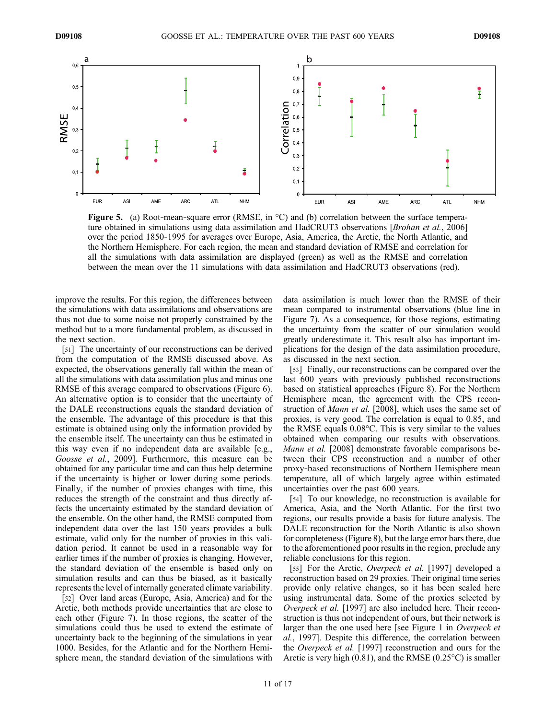

Figure 5. (a) Root-mean-square error (RMSE, in  $^{\circ}$ C) and (b) correlation between the surface temperature obtained in simulations using data assimilation and HadCRUT3 observations [*Brohan et al.*, 2006] over the period 1850‐1995 for averages over Europe, Asia, America, the Arctic, the North Atlantic, and the Northern Hemisphere. For each region, the mean and standard deviation of RMSE and correlation for all the simulations with data assimilation are displayed (green) as well as the RMSE and correlation between the mean over the 11 simulations with data assimilation and HadCRUT3 observations (red).

improve the results. For this region, the differences between the simulations with data assimilations and observations are thus not due to some noise not properly constrained by the method but to a more fundamental problem, as discussed in the next section.

[51] The uncertainty of our reconstructions can be derived from the computation of the RMSE discussed above. As expected, the observations generally fall within the mean of all the simulations with data assimilation plus and minus one RMSE of this average compared to observations (Figure 6). An alternative option is to consider that the uncertainty of the DALE reconstructions equals the standard deviation of the ensemble. The advantage of this procedure is that this estimate is obtained using only the information provided by the ensemble itself. The uncertainty can thus be estimated in this way even if no independent data are available [e.g., Goosse et al., 2009]. Furthermore, this measure can be obtained for any particular time and can thus help determine if the uncertainty is higher or lower during some periods. Finally, if the number of proxies changes with time, this reduces the strength of the constraint and thus directly affects the uncertainty estimated by the standard deviation of the ensemble. On the other hand, the RMSE computed from independent data over the last 150 years provides a bulk estimate, valid only for the number of proxies in this validation period. It cannot be used in a reasonable way for earlier times if the number of proxies is changing. However, the standard deviation of the ensemble is based only on simulation results and can thus be biased, as it basically represents the level of internally generated climate variability.

[52] Over land areas (Europe, Asia, America) and for the Arctic, both methods provide uncertainties that are close to each other (Figure 7). In those regions, the scatter of the simulations could thus be used to extend the estimate of uncertainty back to the beginning of the simulations in year 1000. Besides, for the Atlantic and for the Northern Hemisphere mean, the standard deviation of the simulations with

data assimilation is much lower than the RMSE of their mean compared to instrumental observations (blue line in Figure 7). As a consequence, for those regions, estimating the uncertainty from the scatter of our simulation would greatly underestimate it. This result also has important implications for the design of the data assimilation procedure, as discussed in the next section.

[53] Finally, our reconstructions can be compared over the last 600 years with previously published reconstructions based on statistical approaches (Figure 8). For the Northern Hemisphere mean, the agreement with the CPS reconstruction of *Mann et al.* [2008], which uses the same set of proxies, is very good. The correlation is equal to 0.85, and the RMSE equals 0.08°C. This is very similar to the values obtained when comparing our results with observations. Mann et al. [2008] demonstrate favorable comparisons between their CPS reconstruction and a number of other proxy‐based reconstructions of Northern Hemisphere mean temperature, all of which largely agree within estimated uncertainties over the past 600 years.

[54] To our knowledge, no reconstruction is available for America, Asia, and the North Atlantic. For the first two regions, our results provide a basis for future analysis. The DALE reconstruction for the North Atlantic is also shown for completeness (Figure 8), but the large error bars there, due to the aforementioned poor results in the region, preclude any reliable conclusions for this region.

[55] For the Arctic, *Overpeck et al.* [1997] developed a reconstruction based on 29 proxies. Their original time series provide only relative changes, so it has been scaled here using instrumental data. Some of the proxies selected by Overpeck et al. [1997] are also included here. Their reconstruction is thus not independent of ours, but their network is larger than the one used here [see Figure 1 in Overpeck et al., 1997]. Despite this difference, the correlation between the Overpeck et al. [1997] reconstruction and ours for the Arctic is very high  $(0.81)$ , and the RMSE  $(0.25\textdegree C)$  is smaller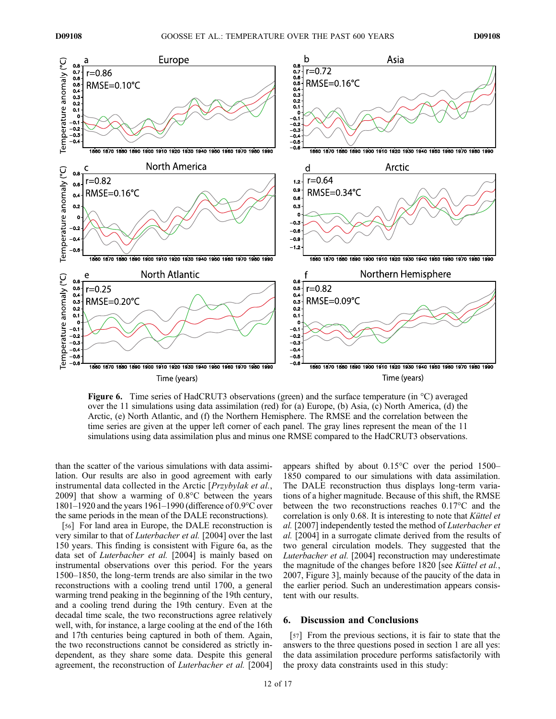

Figure 6. Time series of HadCRUT3 observations (green) and the surface temperature (in °C) averaged over the 11 simulations using data assimilation (red) for (a) Europe, (b) Asia, (c) North America, (d) the Arctic, (e) North Atlantic, and (f) the Northern Hemisphere. The RMSE and the correlation between the time series are given at the upper left corner of each panel. The gray lines represent the mean of the 11 simulations using data assimilation plus and minus one RMSE compared to the HadCRUT3 observations.

than the scatter of the various simulations with data assimilation. Our results are also in good agreement with early instrumental data collected in the Arctic [Przybylak et al., 2009] that show a warming of 0.8°C between the years 1801–1920 and the years 1961–1990 (difference of 0.9°C over the same periods in the mean of the DALE reconstructions).

[56] For land area in Europe, the DALE reconstruction is very similar to that of Luterbacher et al. [2004] over the last 150 years. This finding is consistent with Figure 6a, as the data set of Luterbacher et al. [2004] is mainly based on instrumental observations over this period. For the years 1500–1850, the long‐term trends are also similar in the two reconstructions with a cooling trend until 1700, a general warming trend peaking in the beginning of the 19th century, and a cooling trend during the 19th century. Even at the decadal time scale, the two reconstructions agree relatively well, with, for instance, a large cooling at the end of the 16th and 17th centuries being captured in both of them. Again, the two reconstructions cannot be considered as strictly independent, as they share some data. Despite this general agreement, the reconstruction of Luterbacher et al. [2004]

appears shifted by about 0.15°C over the period 1500– 1850 compared to our simulations with data assimilation. The DALE reconstruction thus displays long-term variations of a higher magnitude. Because of this shift, the RMSE between the two reconstructions reaches 0.17°C and the correlation is only 0.68. It is interesting to note that Küttel et al. [2007] independently tested the method of Luterbacher et al. [2004] in a surrogate climate derived from the results of two general circulation models. They suggested that the Luterbacher et al. [2004] reconstruction may underestimate the magnitude of the changes before 1820 [see Küttel et al., 2007, Figure 3], mainly because of the paucity of the data in the earlier period. Such an underestimation appears consistent with our results.

### 6. Discussion and Conclusions

[57] From the previous sections, it is fair to state that the answers to the three questions posed in section 1 are all yes: the data assimilation procedure performs satisfactorily with the proxy data constraints used in this study: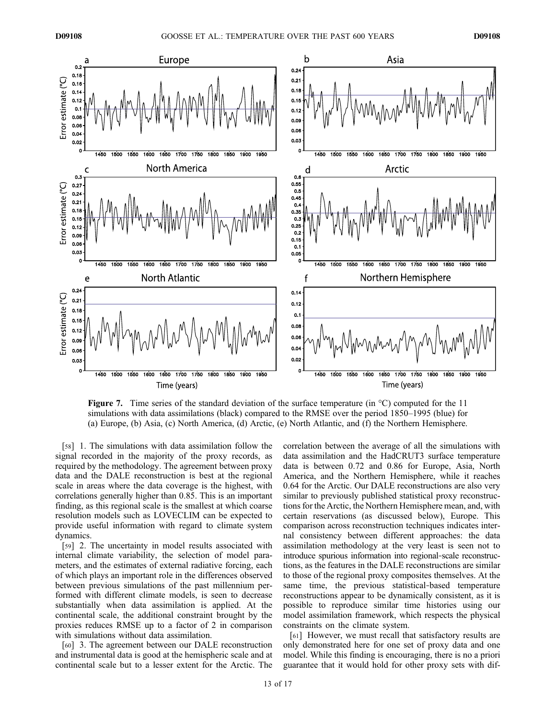

Figure 7. Time series of the standard deviation of the surface temperature (in °C) computed for the 11 simulations with data assimilations (black) compared to the RMSE over the period 1850–1995 (blue) for (a) Europe, (b) Asia, (c) North America, (d) Arctic, (e) North Atlantic, and (f) the Northern Hemisphere.

[58] 1. The simulations with data assimilation follow the signal recorded in the majority of the proxy records, as required by the methodology. The agreement between proxy data and the DALE reconstruction is best at the regional scale in areas where the data coverage is the highest, with correlations generally higher than 0.85. This is an important finding, as this regional scale is the smallest at which coarse resolution models such as LOVECLIM can be expected to provide useful information with regard to climate system dynamics.

[59] 2. The uncertainty in model results associated with internal climate variability, the selection of model parameters, and the estimates of external radiative forcing, each of which plays an important role in the differences observed between previous simulations of the past millennium performed with different climate models, is seen to decrease substantially when data assimilation is applied. At the continental scale, the additional constraint brought by the proxies reduces RMSE up to a factor of 2 in comparison with simulations without data assimilation.

[60] 3. The agreement between our DALE reconstruction and instrumental data is good at the hemispheric scale and at continental scale but to a lesser extent for the Arctic. The

correlation between the average of all the simulations with data assimilation and the HadCRUT3 surface temperature data is between 0.72 and 0.86 for Europe, Asia, North America, and the Northern Hemisphere, while it reaches 0.64 for the Arctic. Our DALE reconstructions are also very similar to previously published statistical proxy reconstructions for the Arctic, the Northern Hemisphere mean, and, with certain reservations (as discussed below), Europe. This comparison across reconstruction techniques indicates internal consistency between different approaches: the data assimilation methodology at the very least is seen not to introduce spurious information into regional‐scale reconstructions, as the features in the DALE reconstructions are similar to those of the regional proxy composites themselves. At the same time, the previous statistical-based temperature reconstructions appear to be dynamically consistent, as it is possible to reproduce similar time histories using our model assimilation framework, which respects the physical constraints on the climate system.

[61] However, we must recall that satisfactory results are only demonstrated here for one set of proxy data and one model. While this finding is encouraging, there is no a priori guarantee that it would hold for other proxy sets with dif-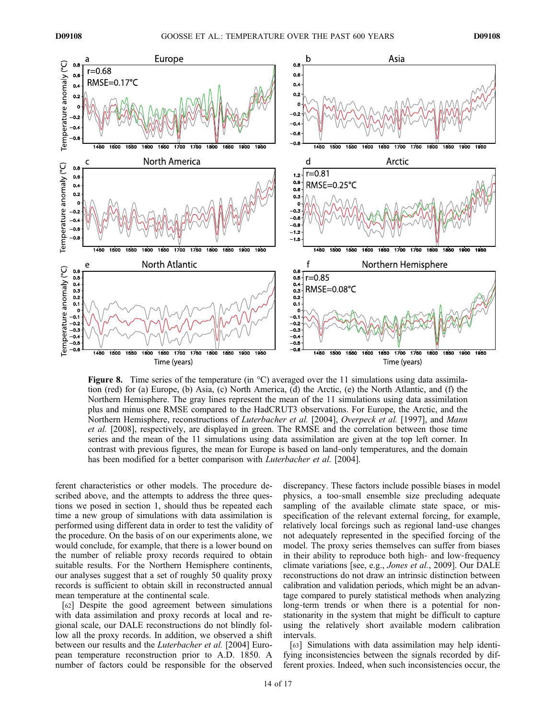![](_page_13_Figure_3.jpeg)

Figure 8. Time series of the temperature (in  $^{\circ}$ C) averaged over the 11 simulations using data assimilation (red) for (a) Europe, (b) Asia, (c) North America, (d) the Arctic, (e) the North Atlantic, and (f) the Northern Hemisphere. The gray lines represent the mean of the 11 simulations using data assimilation plus and minus one RMSE compared to the HadCRUT3 observations. For Europe, the Arctic, and the Northern Hemisphere, reconstructions of *Luterbacher et al.* [2004], *Overpeck et al.* [1997], and *Mann* et al. [2008], respectively, are displayed in green. The RMSE and the correlation between those time series and the mean of the 11 simulations using data assimilation are given at the top left corner. In contrast with previous figures, the mean for Europe is based on land-only temperatures, and the domain has been modified for a better comparison with *Luterbacher et al.* [2004].

ferent characteristics or other models. The procedure described above, and the attempts to address the three questions we posed in section 1, should thus be repeated each time a new group of simulations with data assimilation is performed using different data in order to test the validity of the procedure. On the basis of on our experiments alone, we would conclude, for example, that there is a lower bound on the number of reliable proxy records required to obtain suitable results. For the Northern Hemisphere continents, our analyses suggest that a set of roughly 50 quality proxy records is sufficient to obtain skill in reconstructed annual mean temperature at the continental scale.

[62] Despite the good agreement between simulations with data assimilation and proxy records at local and regional scale, our DALE reconstructions do not blindly follow all the proxy records. In addition, we observed a shift between our results and the *Luterbacher et al.* [2004] European temperature reconstruction prior to A.D. 1850. A number of factors could be responsible for the observed

discrepancy. These factors include possible biases in model physics, a too‐small ensemble size precluding adequate sampling of the available climate state space, or misspecification of the relevant external forcing, for example, relatively local forcings such as regional land‐use changes not adequately represented in the specified forcing of the model. The proxy series themselves can suffer from biases in their ability to reproduce both high- and low-frequency climate variations [see, e.g., Jones et al., 2009]. Our DALE reconstructions do not draw an intrinsic distinction between calibration and validation periods, which might be an advantage compared to purely statistical methods when analyzing long-term trends or when there is a potential for nonstationarity in the system that might be difficult to capture using the relatively short available modern calibration intervals.

[63] Simulations with data assimilation may help identifying inconsistencies between the signals recorded by different proxies. Indeed, when such inconsistencies occur, the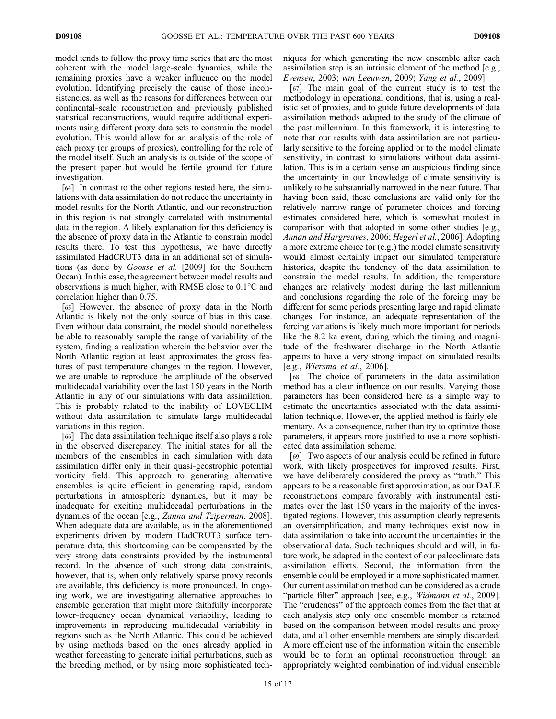model tends to follow the proxy time series that are the most coherent with the model large‐scale dynamics, while the remaining proxies have a weaker influence on the model evolution. Identifying precisely the cause of those inconsistencies, as well as the reasons for differences between our continental‐scale reconstruction and previously published statistical reconstructions, would require additional experiments using different proxy data sets to constrain the model evolution. This would allow for an analysis of the role of each proxy (or groups of proxies), controlling for the role of the model itself. Such an analysis is outside of the scope of the present paper but would be fertile ground for future investigation.

[64] In contrast to the other regions tested here, the simulations with data assimilation do not reduce the uncertainty in model results for the North Atlantic, and our reconstruction in this region is not strongly correlated with instrumental data in the region. A likely explanation for this deficiency is the absence of proxy data in the Atlantic to constrain model results there. To test this hypothesis, we have directly assimilated HadCRUT3 data in an additional set of simulations (as done by Goosse et al. [2009] for the Southern Ocean). In this case, the agreement between model results and observations is much higher, with RMSE close to 0.1°C and correlation higher than 0.75.

[65] However, the absence of proxy data in the North Atlantic is likely not the only source of bias in this case. Even without data constraint, the model should nonetheless be able to reasonably sample the range of variability of the system, finding a realization wherein the behavior over the North Atlantic region at least approximates the gross features of past temperature changes in the region. However, we are unable to reproduce the amplitude of the observed multidecadal variability over the last 150 years in the North Atlantic in any of our simulations with data assimilation. This is probably related to the inability of LOVECLIM without data assimilation to simulate large multidecadal variations in this region.

[66] The data assimilation technique itself also plays a role in the observed discrepancy. The initial states for all the members of the ensembles in each simulation with data assimilation differ only in their quasi‐geostrophic potential vorticity field. This approach to generating alternative ensembles is quite efficient in generating rapid, random perturbations in atmospheric dynamics, but it may be inadequate for exciting multidecadal perturbations in the dynamics of the ocean [e.g., Zanna and Tziperman, 2008]. When adequate data are available, as in the aforementioned experiments driven by modern HadCRUT3 surface temperature data, this shortcoming can be compensated by the very strong data constraints provided by the instrumental record. In the absence of such strong data constraints, however, that is, when only relatively sparse proxy records are available, this deficiency is more pronounced. In ongoing work, we are investigating alternative approaches to ensemble generation that might more faithfully incorporate lower‐frequency ocean dynamical variability, leading to improvements in reproducing multidecadal variability in regions such as the North Atlantic. This could be achieved by using methods based on the ones already applied in weather forecasting to generate initial perturbations, such as the breeding method, or by using more sophisticated tech-

niques for which generating the new ensemble after each assimilation step is an intrinsic element of the method [e.g., Evensen, 2003; van Leeuwen, 2009; Yang et al., 2009].

[67] The main goal of the current study is to test the methodology in operational conditions, that is, using a realistic set of proxies, and to guide future developments of data assimilation methods adapted to the study of the climate of the past millennium. In this framework, it is interesting to note that our results with data assimilation are not particularly sensitive to the forcing applied or to the model climate sensitivity, in contrast to simulations without data assimilation. This is in a certain sense an auspicious finding since the uncertainty in our knowledge of climate sensitivity is unlikely to be substantially narrowed in the near future. That having been said, these conclusions are valid only for the relatively narrow range of parameter choices and forcing estimates considered here, which is somewhat modest in comparison with that adopted in some other studies [e.g., Annan and Hargreaves, 2006; Hegerl et al., 2006]. Adopting a more extreme choice for (e.g.) the model climate sensitivity would almost certainly impact our simulated temperature histories, despite the tendency of the data assimilation to constrain the model results. In addition, the temperature changes are relatively modest during the last millennium and conclusions regarding the role of the forcing may be different for some periods presenting large and rapid climate changes. For instance, an adequate representation of the forcing variations is likely much more important for periods like the 8.2 ka event, during which the timing and magnitude of the freshwater discharge in the North Atlantic appears to have a very strong impact on simulated results  $[e.g., *Wiersma et al.*, 2006].$ 

[68] The choice of parameters in the data assimilation method has a clear influence on our results. Varying those parameters has been considered here as a simple way to estimate the uncertainties associated with the data assimilation technique. However, the applied method is fairly elementary. As a consequence, rather than try to optimize those parameters, it appears more justified to use a more sophisticated data assimilation scheme.

[69] Two aspects of our analysis could be refined in future work, with likely prospectives for improved results. First, we have deliberately considered the proxy as "truth." This appears to be a reasonable first approximation, as our DALE reconstructions compare favorably with instrumental estimates over the last 150 years in the majority of the investigated regions. However, this assumption clearly represents an oversimplification, and many techniques exist now in data assimilation to take into account the uncertainties in the observational data. Such techniques should and will, in future work, be adapted in the context of our paleoclimate data assimilation efforts. Second, the information from the ensemble could be employed in a more sophisticated manner. Our current assimilation method can be considered as a crude "particle filter" approach [see, e.g., *Widmann et al.*, 2009]. The "crudeness" of the approach comes from the fact that at each analysis step only one ensemble member is retained based on the comparison between model results and proxy data, and all other ensemble members are simply discarded. A more efficient use of the information within the ensemble would be to form an optimal reconstruction through an appropriately weighted combination of individual ensemble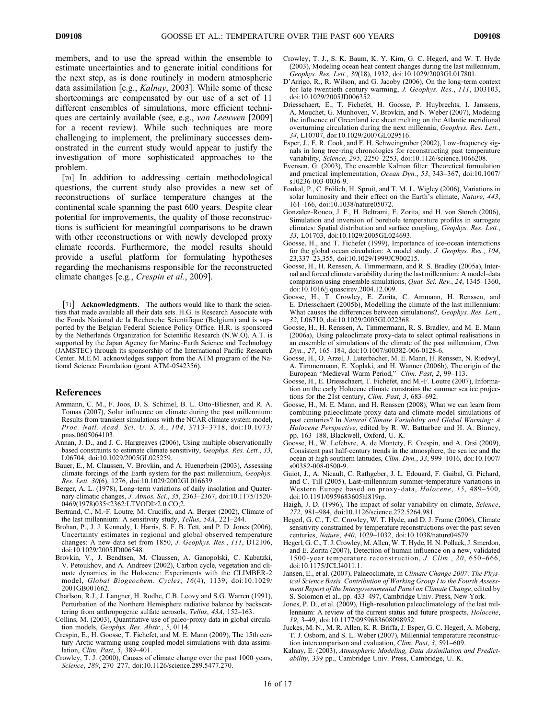members, and to use the spread within the ensemble to estimate uncertainties and to generate initial conditions for the next step, as is done routinely in modern atmospheric data assimilation [e.g., Kalnay, 2003]. While some of these shortcomings are compensated by our use of a set of 11 different ensembles of simulations, more efficient techniques are certainly available (see, e.g., van Leeuwen [2009] for a recent review). While such techniques are more challenging to implement, the preliminary successes demonstrated in the current study would appear to justify the investigation of more sophisticated approaches to the problem.

[70] In addition to addressing certain methodological questions, the current study also provides a new set of reconstructions of surface temperature changes at the continental scale spanning the past 600 years. Despite clear potential for improvements, the quality of those reconstructions is sufficient for meaningful comparisons to be drawn with other reconstructions or with newly developed proxy climate records. Furthermore, the model results should provide a useful platform for formulating hypotheses regarding the mechanisms responsible for the reconstructed climate changes [e.g., Crespin et al., 2009].

[71] **Acknowledgments.** The authors would like to thank the scientists that made available all their data sets. H.G. is Research Associate with the Fonds National de la Recherche Scientifique (Belgium) and is supported by the Belgian Federal Science Policy Office. H.R. is sponsored by the Netherlands Organization for Scientific Research (N.W.O). A.T. is supported by the Japan Agency for Marine-Earth Science and Technology (JAMSTEC) through its sponsorship of the International Pacific Research Center. M.E.M. acknowledges support from the ATM program of the National Science Foundation (grant ATM‐0542356).

#### References

- Ammann, C. M., F. Joos, D. S. Schimel, B. L. Otto‐Bliesner, and R. A. Tomas (2007), Solar influence on climate during the past millennium: Results from transient simulations with the NCAR climate system model, Proc. Natl. Acad. Sci. U. S. A., 104, 3713–3718, doi:10.1073/ pnas.0605064103.
- Annan, J. D., and J. C. Hargreaves (2006), Using multiple observationally based constraints to estimate climate sensitivity, Geophys. Res. Lett., 33, L06704, doi:10.1029/2005GL025259.
- Bauer, E., M. Claussen, V. Brovkin, and A. Huenerbein (2003), Assessing climate forcings of the Earth system for the past millennium, Geophys. Res. Lett. 30(6), 1276, doi:10.1029/2002GL016639.
- Berger, A. L. (1978), Long-term variations of daily insolation and Quaternary climatic changes, J. Atmos. Sci., 35, 2363–2367, doi:10.1175/1520- 0469(1978)035<2362:LTVODI>2.0.CO;2.
- Bertrand, C., M.‐F. Loutre, M. Crucifix, and A. Berger (2002), Climate of the last millennium: A sensitivity study, Tellus, 54A, 221–244.
- Brohan, P., J. J. Kennedy, I. Harris, S. F. B. Tett, and P. D. Jones (2006), Uncertainty estimates in regional and global observed temperature changes: A new data set from 1850, J. Geophys. Res., 111, D12106, doi:10.1029/2005JD006548.
- Brovkin, V., J. Bendtsen, M. Claussen, A. Ganopolski, C. Kubatzki, V. Petoukhov, and A. Andreev (2002), Carbon cycle, vegetation and climate dynamics in the Holocene: Experiments with the CLIMBER‐2 model, Global Biogeochem. Cycles, 16(4), 1139, doi:10.1029/ 2001GB001662.
- Charlson, R.J., J. Langner, H. Rodhe, C.B. Leovy and S.G. Warren (1991), Perturbation of the Northern Hemisphere radiative balance by backscattering from anthropogenic sulfate aerosols, Tellus, 43A, 152–163.
- Collins, M. (2003), Quantitative use of paleo‐proxy data in global circulation models, Geophys. Res. Abstr., 5, 0114.
- Crespin, E., H. Goosse, T. Fichefet, and M. E. Mann (2009), The 15th century Arctic warming using coupled model simulations with data assimilation, Clim. Past, 5, 389-401.
- Crowley, T. J. (2000), Causes of climate change over the past 1000 years, Science, 289, 270–277, doi:10.1126/science.289.5477.270.
- Crowley, T. J., S. K. Baum, K. Y. Kim, G. C. Hegerl, and W. T. Hyde (2003), Modeling ocean heat content changes during the last millennium, Geophys. Res. Lett., 30(18), 1932, doi:10.1029/2003GL017801.
- D'Arrigo, R., R. Wilson, and G. Jacoby (2006), On the long-term context for late twentieth century warming, J. Geophys. Res., 111, D03103, doi:10.1029/2005JD006352.
- Driesschaert, E., T. Fichefet, H. Goosse, P. Huybrechts, I. Janssens, A. Mouchet, G. Munhoven, V. Brovkin, and N. Weber (2007), Modeling the influence of Greenland ice sheet melting on the Atlantic meridional overturning circulation during the next millennia, Geophys. Res. Lett., 34, L10707, doi:10.1029/2007GL029516.
- Esper, J., E. R. Cook, and F. H. Schweingruber (2002), Low-frequency signals in long tree‐ring chronologies for reconstructing past temperature variability, Science, 295, 2250–2253, doi:10.1126/science.1066208.
- Evensen, G. (2003), The ensemble Kalman filter: Theoretical formulation and practical implementation, Ocean Dyn., 53, 343–367, doi:10.1007/ s10236-003-0036-9.
- Foukal, P., C. Frölich, H. Spruit, and T. M. L. Wigley (2006), Variations in solar luminosity and their effect on the Earth's climate, Nature, 443, 161–166, doi:10.1038/nature05072.
- Gonzalez‐Rouco, J. F., H. Beltrami, E. Zorita, and H. von Storch (2006), Simulation and inversion of borehole temperature profiles in surrogate climates: Spatial distribution and surface coupling, Geophys. Res. Lett., 33, L01703, doi:10.1029/2005GL024693.
- Goosse, H., and T. Fichefet (1999), Importance of ice‐ocean interactions for the global ocean circulation: A model study, J. Geophys. Res., 104, 23,337–23,355, doi:10.1029/1999JC900215.
- Goosse, H., H. Renssen, A. Timmermann, and R. S. Bradley (2005a), Internal and forced climate variability during the last millennium: A model‐data comparison using ensemble simulations, Quat. Sci. Rev., 24, 1345–1360, doi:10.1016/j.quascirev.2004.12.009.
- Goosse, H., T. Crowley, E. Zorita, C. Ammann, H. Renssen, and E. Driesschaert (2005b), Modelling the climate of the last millennium: What causes the differences between simulations?, Geophys. Res. Lett., 32, L06710, doi:10.1029/2005GL022368.
- Goosse, H., H. Renssen, A. Timmermann, R. S. Bradley, and M. E. Mann (2006a), Using paleoclimate proxy‐data to select optimal realisations in an ensemble of simulations of the climate of the past millennium, Clim. Dyn., 27, 165–184, doi:10.1007/s00382-006-0128-6.
- Goosse, H., O. Arzel, J. Luterbacher, M. E. Mann, H. Renssen, N. Riedwyl, A. Timmermann, E. Xoplaki, and H. Wanner (2006b), The origin of the European "Medieval Warm Period," Clim. Past, 2, 99-113.
- Goosse, H., E. Driesschaert, T. Fichefet, and M.‐F. Loutre (2007), Information on the early Holocene climate constrains the summer sea ice projections for the 21st century, Clim. Past, 3, 683–692.
- Goosse, H., M. E. Mann, and H. Renssen (2008), What we can learn from combining paleoclimate proxy data and climate model simulations of past centuries? In Natural Climate Variability and Global Warming: A Holocene Perspective, edited by R. W. Battarbee and H. A. Binney, pp. 163–188, Blackwell, Oxford, U. K.
- Goosse, H., W. Lefebvre, A. de Montety, E. Crespin, and A. Orsi (2009), Consistent past half‐century trends in the atmosphere, the sea ice and the ocean at high southern latitudes, Clim. Dyn., 33, 999–1016, doi:10.1007/ s00382-008-0500-9.
- Guiot, J., A. Nicault, C. Rathgeber, J. L. Edouard, F. Guibal, G. Pichard, and C. Till (2005), Last-millennium summer-temperature variations in Western Europe based on proxy‐data, Holocene, 15, 489–500, doi:10.1191/0959683605hl819rp.
- Haigh, J. D. (1996), The impact of solar variability on climate, Science, 272, 981–984, doi:10.1126/science.272.5264.981.
- Hegerl, G. C., T. C. Crowley, W. T. Hyde, and D. J. Frame (2006), Climate sensitivity constrained by temperature reconstructions over the past seven centuries, Nature, 440, 1029–1032, doi:10.1038/nature04679.
- Hegerl, G. C., T. J. Crowley, M. Allen, W. T. Hyde, H. N. Pollack, J. Smerdon, and E. Zorita (2007), Detection of human influence on a new, validated 1500‐year temperature reconstruction, J. Clim., 20, 650–666, doi:10.1175/JCLI4011.1.
- Jansen, E., et al. (2007), Palaeoclimate, in Climate Change 2007: The Physical Science Basis. Contribution of Working Group I to the Fourth Assessment Report of the Intergovernmental Panel on Climate Change, edited by S. Solomon et al., pp. 433–497, Cambridge Univ. Press, New York.
- Jones, P. D., et al. (2009), High-resolution paleoclimatology of the last millennium: A review of the current status and future prospects, Holocene, 19, 3–49, doi:10.1177/0959683608098952.
- Juckes, M. N., M. R. Allen, K. R. Briffa, J. Esper, G. C. Hegerl, A. Moberg, T. J. Osborn, and S. L. Weber (2007), Millennial temperature reconstruction intercomparison and evaluation, Clim. Past, 3, 591–609.
- Kalnay, E. (2003), Atmospheric Modeling, Data Assimilation and Predictability, 339 pp., Cambridge Univ. Press, Cambridge, U. K.